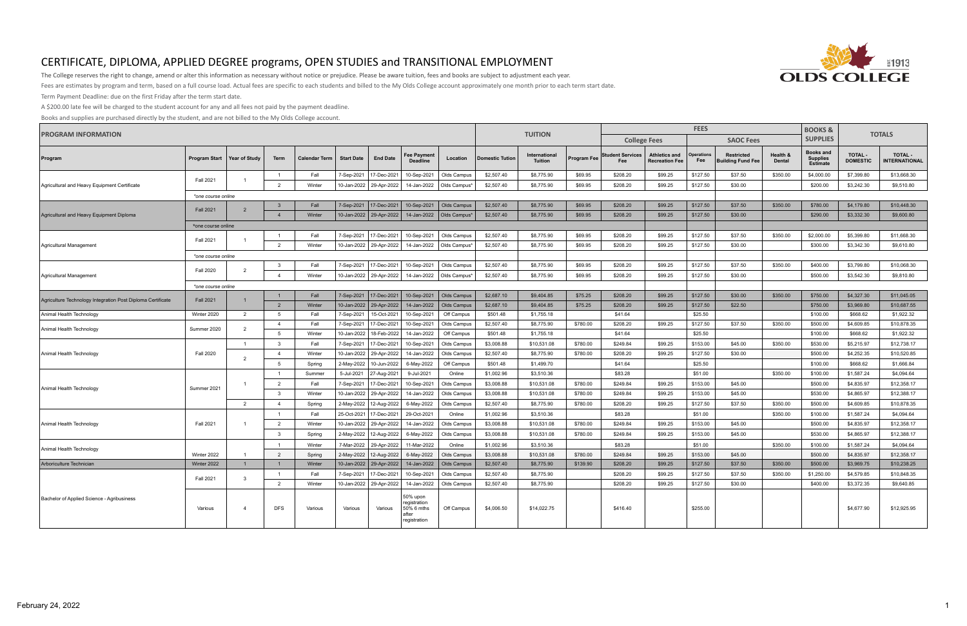

The College reserves the right to change, amend or alter this information as necessary without notice or prejudice. Please be aware tuition, fees and books are subject to adjustment each year.

Fees are estimates by program and term, based on a full course load. Actual fees are specific to each students and billed to the My Olds College account approximately one month prior to each term start date.

Term Payment Deadline: due on the first Friday after the term start date.

A \$200.00 late fee will be charged to the student account for any and all fees not paid by the payment deadline.

| <b>PROGRAM INFORMATION</b>                                  |                      |                |                |                      |                   |                                                     |                                                                 |                            | <b>TUITION</b>           | <b>FEES</b>                     |                    |                                |                                               |                      |                                               | <b>TOTALS</b>             |                                                        |                                   |                                        |  |
|-------------------------------------------------------------|----------------------|----------------|----------------|----------------------|-------------------|-----------------------------------------------------|-----------------------------------------------------------------|----------------------------|--------------------------|---------------------------------|--------------------|--------------------------------|-----------------------------------------------|----------------------|-----------------------------------------------|---------------------------|--------------------------------------------------------|-----------------------------------|----------------------------------------|--|
|                                                             |                      |                |                |                      |                   |                                                     |                                                                 |                            |                          |                                 |                    | <b>College Fees</b>            |                                               |                      | <b>SAOC Fees</b>                              |                           | <b>SUPPLIES</b>                                        |                                   |                                        |  |
| Program                                                     | <b>Program Start</b> | Year of Studv  | <b>Term</b>    | <b>Calendar Term</b> | <b>Start Date</b> | <b>End Date</b>                                     | Fee Payment<br><b>Deadline</b>                                  | Location                   | <b>Domestic Tution</b>   | International<br><b>Tuition</b> | <b>Program Fee</b> | <b>Student Services</b><br>Fee | <b>Athletics and</b><br><b>Recreation Fee</b> | Operations<br>Fee    | <b>Restricted</b><br><b>Building Fund Fee</b> | Health &<br><b>Dental</b> | <b>Books and</b><br><b>Supplies</b><br><b>Estimate</b> | <b>TOTAL -</b><br><b>DOMESTIC</b> | <b>TOTAL -</b><br><b>INTERNATIONAL</b> |  |
|                                                             | <b>Fall 2021</b>     | $\overline{1}$ | $\overline{1}$ | Fall                 | 7-Sep-2021        | 17-Dec-2021                                         | 10-Sep-2021                                                     | Olds Campus                | \$2,507.40               | \$8,775.90                      | \$69.95            | \$208.20                       | \$99.25                                       | \$127.50             | \$37.50                                       | \$350.00                  | \$4,000.00                                             | \$7,399.80                        | \$13,668.30                            |  |
| Agricultural and Heavy Equipment Certificate                |                      |                | 2              | Winter               | 10-Jan-2022       | 29-Apr-2022                                         | 14-Jan-2022                                                     | Olds Campus                | \$2,507.40               | \$8,775.90                      | \$69.95            | \$208.20                       | \$99.25                                       | \$127.50             | \$30.00                                       |                           | \$200.00                                               | \$3,242.30                        | \$9,510.80                             |  |
|                                                             | *one course online   |                |                |                      |                   |                                                     |                                                                 |                            |                          |                                 |                    |                                |                                               |                      |                                               |                           |                                                        |                                   |                                        |  |
|                                                             | <b>Fall 2021</b>     | $\overline{2}$ | $\overline{3}$ | Fall                 |                   | 7-Sep-2021   17-Dec-2021                            | 10-Sep-2021                                                     | Olds Campus                | \$2,507.40               | \$8,775.90                      | \$69.95            | \$208.20                       | \$99.25                                       | \$127.50             | \$37.50                                       | \$350.00                  | \$780.00                                               | \$4,179.80                        | \$10,448.30                            |  |
| Agricultural and Heavy Equipment Diploma                    |                      |                | $\overline{4}$ | Winter               |                   | 10-Jan-2022 29-Apr-2022                             | 14-Jan-2022                                                     | Olds Campus*               | \$2,507.40               | \$8,775.90                      | \$69.95            | \$208.20                       | \$99.25                                       | \$127.50             | \$30.00                                       |                           | \$290.00                                               | \$3,332.30                        | \$9,600.80                             |  |
|                                                             | *one course online   |                |                |                      |                   |                                                     |                                                                 |                            |                          |                                 |                    |                                |                                               |                      |                                               |                           |                                                        |                                   |                                        |  |
|                                                             | <b>Fall 2021</b>     | $\overline{1}$ |                | Fall                 | 7-Sep-2021        | 17-Dec-2021                                         | 10-Sep-2021                                                     | Olds Campus                | \$2,507.40               | \$8,775.90                      | \$69.95            | \$208.20                       | \$99.25                                       | \$127.50             | \$37.50                                       | \$350.00                  | \$2,000.00                                             | \$5,399.80                        | \$11,668.30                            |  |
| Agricultural Management                                     |                      |                | $\overline{2}$ | Winter               |                   | 10-Jan-2022 29-Apr-2022                             | 14-Jan-2022                                                     | Olds Campus'               | \$2,507.40               | \$8,775.90                      | \$69.95            | \$208.20                       | \$99.25                                       | \$127.50             | \$30.00                                       |                           | \$300.00                                               | \$3,342.30                        | \$9,610.80                             |  |
|                                                             | *one course online   |                |                |                      |                   |                                                     |                                                                 |                            |                          |                                 |                    |                                |                                               |                      |                                               |                           |                                                        |                                   |                                        |  |
| Agricultural Management                                     | <b>Fall 2020</b>     | $\overline{2}$ | $\cdot$ 3      | Fall                 | 7-Sep-2021        | 17-Dec-2021                                         | 10-Sep-2021                                                     | Olds Campus                | \$2,507.40               | \$8,775.90                      | \$69.95            | \$208.20                       | \$99.25                                       | \$127.50             | \$37.50                                       | \$350.00                  | \$400.00                                               | \$3,799.80                        | \$10,068.30                            |  |
|                                                             |                      |                | $\overline{4}$ | Winter               |                   | 10-Jan-2022 29-Apr-2022                             | 14-Jan-2022                                                     | Olds Campus'               | \$2,507.40               | \$8,775.90                      | \$69.95            | \$208.20                       | \$99.25                                       | \$127.50             | \$30.00                                       |                           | \$500.00                                               | \$3,542.30                        | \$9,810.80                             |  |
|                                                             | *one course online   |                |                |                      |                   |                                                     |                                                                 |                            |                          |                                 |                    |                                |                                               |                      |                                               |                           |                                                        |                                   |                                        |  |
| Agriculture Technology Integration Post Diploma Certificate | <b>Fall 2021</b>     | $\mathbf{1}$   | $\overline{2}$ | Fall<br>Winter       |                   | 7-Sep-2021   17-Dec-2021<br>10-Jan-2022 29-Apr-2022 | 10-Sep-2021<br>14-Jan-2022                                      | Olds Campus<br>Olds Campus | \$2,687.10<br>\$2,687.10 | \$9,404.85<br>\$9,404.85        | \$75.25<br>\$75.25 | \$208.20<br>\$208.20           | \$99.25<br>\$99.25                            | \$127.50<br>\$127.50 | \$30.00<br>\$22.50                            | \$350.00                  | \$750.00<br>\$750.00                                   | \$4,327.30<br>\$3,969.80          | \$11,045.05<br>\$10,687.55             |  |
| Animal Health Technology                                    | Winter 2020          | $\overline{2}$ | 5              | Fall                 | 7-Sep-2021        | 15-Oct-2021                                         | 10-Sep-2021                                                     | Off Campus                 | \$501.48                 | \$1,755.18                      |                    | \$41.64                        |                                               | \$25.50              |                                               |                           | \$100.00                                               | \$668.62                          | \$1,922.32                             |  |
|                                                             |                      |                | $\overline{4}$ | Fall                 | 7-Sep-2021        | 17-Dec-2021                                         | 10-Sep-2021                                                     | Olds Campus                | \$2,507.40               | \$8,775.90                      | \$780.00           | \$208.20                       | \$99.25                                       | \$127.50             | \$37.50                                       | \$350.00                  | \$500.00                                               | \$4,609.85                        | \$10,878.35                            |  |
| Animal Health Technology                                    | Summer 2020          | $\overline{2}$ | -5             | Winter               | 10-Jan-2022       | 18-Feb-2022                                         | 14-Jan-2022                                                     | Off Campus                 | \$501.48                 | \$1,755.18                      |                    | \$41.64                        |                                               | \$25.50              |                                               |                           | \$100.00                                               | \$668.62                          | \$1,922.32                             |  |
|                                                             |                      | $\overline{1}$ | -3             | Fall                 | 7-Sep-2021        | 17-Dec-2021                                         | 10-Sep-202                                                      | Olds Campus                | \$3,008.88               | \$10,531.08                     | \$780.00           | \$249.84                       | \$99.25                                       | \$153.00             | \$45.00                                       | \$350.00                  | \$530.00                                               | \$5,215.97                        | \$12,738.17                            |  |
| Animal Health Technology                                    | <b>Fall 2020</b>     |                | $\overline{4}$ | Winter               | 10-Jan-2022       | 29-Apr-2022                                         | 14-Jan-2022                                                     | Olds Campus                | \$2,507.40               | \$8,775.90                      | \$780.00           | \$208.20                       | \$99.25                                       | \$127.50             | \$30.00                                       |                           | \$500.00                                               | \$4,252.35                        | \$10,520.85                            |  |
|                                                             |                      | $\overline{2}$ | -5             | Spring               | 2-May-2022        | 10-Jun-2022                                         | 6-May-2022                                                      | Off Campus                 | \$501.48                 | \$1,499.70                      |                    | \$41.64                        |                                               | \$25.50              |                                               |                           | \$100.00                                               | \$668.62                          | \$1,666.84                             |  |
|                                                             |                      |                | $\overline{1}$ | Summer               | 5-Jul-2021        | 27-Aug-2021                                         | 9-Jul-2021                                                      | Online                     | \$1,002.96               | \$3,510.36                      |                    | \$83.28                        |                                               | \$51.00              |                                               | \$350.00                  | \$100.00                                               | \$1,587.24                        | \$4,094.64                             |  |
|                                                             |                      |                | $\overline{2}$ | Fall                 | 7-Sep-2021        | 17-Dec-2021                                         | 10-Sep-2021                                                     | Olds Campus                | \$3,008.88               | \$10,531.08                     | \$780.00           | \$249.84                       | \$99.25                                       | \$153.00             | \$45.00                                       |                           | \$500.00                                               | \$4,835.97                        | \$12,358.17                            |  |
| Animal Health Technology                                    | Summer 2021          |                | $\mathbf{3}$   | Winter               | 10-Jan-2022       | 29-Apr-2022                                         | 14-Jan-2022                                                     | Olds Campus                | \$3,008.88               | \$10,531.08                     | \$780.00           | \$249.84                       | \$99.25                                       | \$153.00             | \$45.00                                       |                           | \$530.00                                               | \$4,865.97                        | \$12,388.17                            |  |
|                                                             |                      | $\overline{2}$ | $\overline{4}$ | Spring               | 2-May-2022        | 12-Aug-2022                                         | 6-May-2022                                                      | Olds Campus                | \$2,507.40               | \$8,775.90                      | \$780.00           | \$208.20                       | \$99.25                                       | \$127.50             | \$37.50                                       | \$350.00                  | \$500.00                                               | \$4,609.85                        | \$10.878.35                            |  |
|                                                             |                      |                | $\overline{1}$ | Fall                 | 25-Oct-2021       | 17-Dec-2021                                         | 29-Oct-2021                                                     | Online                     | \$1,002.96               | \$3,510.36                      |                    | \$83.28                        |                                               | \$51.00              |                                               | \$350.00                  | \$100.00                                               | \$1,587.24                        | \$4,094.64                             |  |
| Animal Health Technology                                    | <b>Fall 2021</b>     | $\mathbf{1}$   | $\overline{2}$ | Winter               | 10-Jan-2022       | 29-Apr-2022                                         | 14-Jan-2022                                                     | Olds Campus                | \$3,008.88               | \$10,531.08                     | \$780.00           | \$249.84                       | \$99.25                                       | \$153.00             | \$45.00                                       |                           | \$500.00                                               | \$4,835.97                        | \$12,358.17                            |  |
|                                                             |                      |                | $\mathbf{3}$   | Spring               | 2-May-2022        | 12-Aug-2022                                         | 6-May-2022                                                      | Olds Campus                | \$3,008.88               | \$10,531.08                     | \$780.00           | \$249.84                       | \$99.25                                       | \$153.00             | \$45.00                                       |                           | \$530.00                                               | \$4,865.97                        | \$12,388.17                            |  |
| Animal Health Technology                                    |                      |                | $\overline{1}$ | Winter               | 7-Mar-2022        | 29-Apr-2022                                         | 11-Mar-2022                                                     | Online                     | \$1,002.96               | \$3,510.36                      |                    | \$83.28                        |                                               | \$51.00              |                                               | \$350.00                  | \$100.00                                               | \$1,587.24                        | \$4,094.64                             |  |
|                                                             | Winter 2022          |                | 2              | Spring               | 2-May-2022        | 12-Aug-2022                                         | 6-May-2022                                                      | Olds Campus                | \$3,008.88               | \$10,531.08                     | \$780.00           | \$249.84                       | \$99.25                                       | \$153.00             | \$45.00                                       |                           | \$500.00                                               | \$4,835.97                        | \$12,358.17                            |  |
| Arboriculture Technician                                    | Winter 2022          | $\overline{1}$ | $\overline{1}$ | Winter               |                   | 10-Jan-2022   29-Apr-2022                           | 14-Jan-2022                                                     | Olds Campus                | \$2,507.40               | \$8,775.90                      | \$139.90           | \$208.20                       | \$99.25                                       | \$127.50             | \$37.50                                       | \$350.00                  | \$500.00                                               | \$3,969.75                        | \$10,238.25                            |  |
|                                                             | <b>Fall 2021</b>     | 3              | $\overline{1}$ | Fall                 | 7-Sep-2021        | 7-Dec-2021                                          | 10-Sep-202                                                      | Olds Campus                | \$2,507.40               | \$8,775.90                      |                    | \$208.20                       | \$99.25                                       | \$127.50             | \$37.50                                       | \$350.00                  | \$1,250.00                                             | \$4,579.85                        | \$10,848.35                            |  |
|                                                             |                      |                | $\overline{2}$ | Winter               | 10-Jan-2022       | 29-Apr-2022                                         | 14-Jan-2022                                                     | Olds Campus                | \$2,507.40               | \$8,775.90                      |                    | \$208.20                       | \$99.25                                       | \$127.50             | \$30.00                                       |                           | \$400.00                                               | \$3,372.35                        | \$9,640.85                             |  |
| Bachelor of Applied Science - Agribusiness                  | Various              | $\overline{a}$ | <b>DFS</b>     | Various              | Various           | Various                                             | 50% upon<br>registration<br>50% 6 mths<br>after<br>registration | Off Campus                 | \$4,006.50               | \$14,022.75                     |                    | \$416.40                       |                                               | \$255.00             |                                               |                           |                                                        | \$4,677.90                        | \$12,925.95                            |  |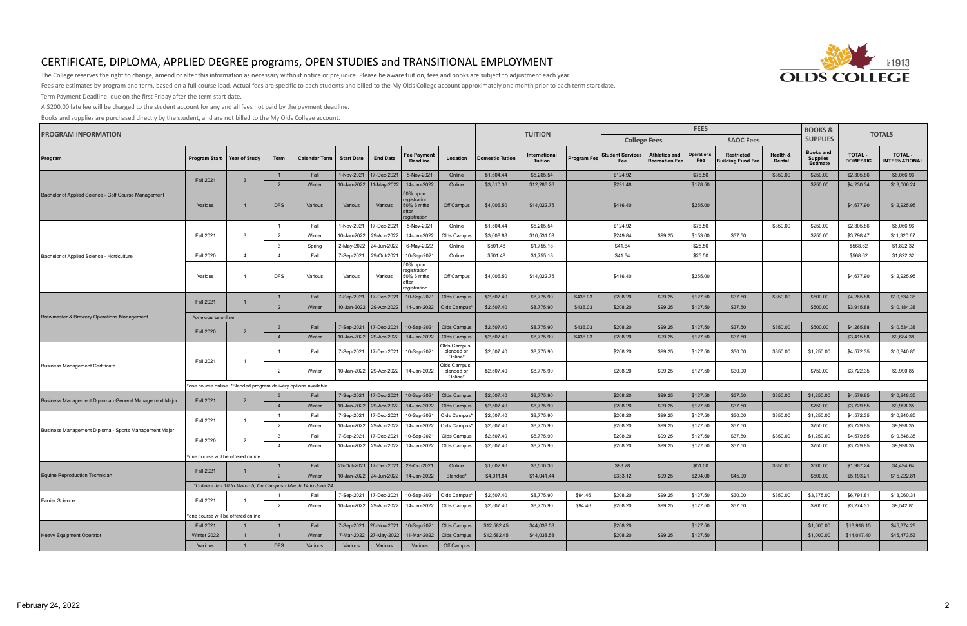

The College reserves the right to change, amend or alter this information as necessary without notice or prejudice. Please be aware tuition, fees and books are subject to adjustment each year.

Fees are estimates by program and term, based on a full course load. Actual fees are specific to each students and billed to the My Olds College account approximately one month prior to each term start date.

Term Payment Deadline: due on the first Friday after the term start date.

A \$200.00 late fee will be charged to the student account for any and all fees not paid by the payment deadline.

| <b>PROGRAM INFORMATION</b>                             |                                    |                                                                |                |                      |                   |                           |                                                                 |                                       |                                                                                            |                                 |             | <b>FEES</b>                    |                                               |                          |                                               |                    |                                                        | <b>TOTALS</b>                     |                                                                                                                |
|--------------------------------------------------------|------------------------------------|----------------------------------------------------------------|----------------|----------------------|-------------------|---------------------------|-----------------------------------------------------------------|---------------------------------------|--------------------------------------------------------------------------------------------|---------------------------------|-------------|--------------------------------|-----------------------------------------------|--------------------------|-----------------------------------------------|--------------------|--------------------------------------------------------|-----------------------------------|----------------------------------------------------------------------------------------------------------------|
|                                                        |                                    |                                                                |                |                      |                   |                           |                                                                 |                                       |                                                                                            | <b>TUITION</b>                  |             |                                | <b>College Fees</b>                           |                          | <b>SAOC Fees</b>                              |                    | <b>SUPPLIES</b>                                        |                                   |                                                                                                                |
| Program                                                | Program Start                      | Year of Study                                                  | Term           | <b>Calendar Term</b> | <b>Start Date</b> | <b>End Date</b>           | <b>Fee Payment</b><br><b>Deadline</b>                           | Location                              | <b>Domestic Tution</b>                                                                     | International<br><b>Tuition</b> | Program Fee | <b>Student Services</b><br>Fee | <b>Athletics and</b><br><b>Recreation Fee</b> | <b>Operations</b><br>Fee | <b>Restricted</b><br><b>Building Fund Fee</b> | Health &<br>Dental | <b>Books and</b><br><b>Supplies</b><br><b>Estimate</b> | <b>TOTAL -</b><br><b>DOMESTIC</b> | <b>TOTAL -</b><br><b>INTERNATIONAL</b>                                                                         |
|                                                        | <b>Fall 2021</b>                   | 3                                                              | $\overline{1}$ | Fall                 | 1-Nov-2021        | 17-Dec-2021               | 5-Nov-2021                                                      | Online                                | \$1,504.44                                                                                 | \$5,265.54                      |             | \$124.92                       |                                               | \$76.50                  |                                               | \$350.00           | \$250.00                                               | \$2,305.86                        | \$6,066.96                                                                                                     |
|                                                        |                                    |                                                                | $\overline{2}$ | Winter               |                   | 10-Jan-2022   11-May-2022 | 14-Jan-2022                                                     | Online                                | \$3,510.36                                                                                 | \$12,286.26                     |             | \$291.48                       |                                               | \$178.50                 |                                               |                    | \$250.00                                               | \$4,230.34                        | \$13,006.24                                                                                                    |
| Bachelor of Applied Science - Golf Course Management   | Various                            | $\overline{4}$                                                 | <b>DFS</b>     | Various              | Various           | Various                   | 50% upon<br>registration<br>50% 6 mths<br>after<br>registration | Off Campus                            | \$4,006.50                                                                                 | \$14,022.75                     |             | \$416.40                       |                                               | \$255.00                 |                                               |                    |                                                        | \$4,677.90                        | \$12,925.95                                                                                                    |
|                                                        |                                    |                                                                | $\overline{1}$ | Fall                 | 1-Nov-2021        | 17-Dec-2021               | 5-Nov-2021                                                      | Online                                | \$1,504.44                                                                                 | \$5,265.54                      |             | \$124.92                       |                                               | \$76.50                  |                                               | \$350.00           | \$250.00                                               | \$2,305.86                        | \$6,066.96                                                                                                     |
|                                                        | <b>Fall 2021</b>                   | -3                                                             | $\overline{2}$ | Winter               | 10-Jan-2022       | 29-Apr-2022               | 14-Jan-2022                                                     | Olds Campus                           | \$3,008.88                                                                                 | \$10,531.08                     |             | \$249.84                       | \$99.25                                       | \$153.00                 | \$37.50                                       |                    | \$250.00                                               | \$3,798.47                        | \$11,320.67                                                                                                    |
|                                                        |                                    |                                                                | $\mathbf{3}$   | Spring               | 2-May-2022        | 24-Jun-2022               | 6-May-2022                                                      | Online                                | \$501.48                                                                                   | \$1,755.18                      |             | \$41.64                        |                                               | \$25.50                  |                                               |                    |                                                        | \$568.62                          | \$1,822.32                                                                                                     |
| Bachelor of Applied Science - Horticulture             | <b>Fall 2020</b>                   | $\overline{4}$                                                 | $\overline{4}$ | Fall                 | 7-Sep-2021        | 29-Oct-2021               | 10-Sep-2021                                                     | Online                                | \$501.48                                                                                   | \$1,755.18                      |             | \$41.64                        |                                               | \$25.50                  |                                               |                    |                                                        | \$568.62                          | \$1,822.32                                                                                                     |
|                                                        | Various                            | $\overline{4}$                                                 | <b>DFS</b>     | Various              | Various           | Various                   | 50% upon<br>registration<br>50% 6 mths<br>after<br>registration | Off Campus                            | \$4,006.50                                                                                 | \$14,022.75                     |             | \$416.40                       |                                               | \$255.00                 |                                               |                    |                                                        | \$4,677.90                        | \$12,925.95                                                                                                    |
| Brewmaster & Brewery Operations Management             | <b>Fall 2021</b>                   | $\overline{1}$                                                 | $\overline{1}$ | Fall                 | 7-Sep-2021        | 17-Dec-2021               | 10-Sep-2021                                                     | Olds Campus                           | \$2,507.40                                                                                 | \$8,775.90                      | \$436.03    | \$208.20                       | \$99.25                                       | \$127.50                 | \$37.50                                       | \$350.00           | \$500.00                                               | \$4,265.88                        | \$10,534.38                                                                                                    |
|                                                        |                                    |                                                                | 2              | Winter               |                   | 10-Jan-2022   29-Apr-2022 |                                                                 | 14-Jan-2022   Olds Campus*            | \$2,507.40                                                                                 | \$8,775.90                      | \$436.03    | \$208.20                       | \$99.25                                       | \$127.50                 | \$37.50                                       |                    | \$500.00                                               | \$3,915.88                        | \$10,184.38                                                                                                    |
|                                                        | *one course online                 |                                                                |                |                      |                   |                           |                                                                 |                                       |                                                                                            |                                 |             |                                |                                               |                          |                                               |                    |                                                        |                                   |                                                                                                                |
|                                                        | <b>Fall 2020</b>                   | $\overline{2}$                                                 | $\overline{3}$ | Fall                 |                   |                           | 7-Sep-2021   17-Dec-2021   10-Sep-2021   Olds Campus            |                                       | \$2,507.40                                                                                 | \$8,775.90                      | \$436.03    | \$208.20                       | \$99.25                                       | \$127.50                 | \$37.50                                       | \$350.00           | \$500.00                                               | \$4,265.88                        | \$10,534.38                                                                                                    |
|                                                        |                                    |                                                                | $\overline{4}$ | Winter               |                   | 10-Jan-2022   29-Apr-2022 | 14-Jan-2022                                                     | Olds Campus                           | \$2,507.40                                                                                 | \$8,775.90                      | \$436.03    | \$208.20                       | \$99.25                                       | \$127.50                 | \$37.50                                       |                    |                                                        | \$3,415.88                        | \$9,684.38                                                                                                     |
| Business Management Certificate                        | <b>Fall 2021</b>                   | -1                                                             |                | Fall                 | 7-Sep-2021        | 17-Dec-2021               | 10-Sep-2021                                                     | Olds Campus,<br>blended or<br>Online* | \$2,507.40                                                                                 | \$8,775.90                      |             | \$208.20                       | \$99.25                                       | \$127.50                 | \$30.00                                       | \$350.00           | \$1,250.00                                             | \$4,572.35                        | \$10,840.85                                                                                                    |
|                                                        |                                    |                                                                | $\overline{2}$ | Winter               |                   | 10-Jan-2022   29-Apr-2022 | 14-Jan-2022                                                     | Olds Campus,<br>blended or<br>Online* | \$2,507.40                                                                                 | \$8,775.90                      |             | \$208.20                       | \$99.25                                       | \$127.50                 | \$30.00                                       |                    | \$750.00                                               | \$3,722.35                        | \$9,990.85                                                                                                     |
|                                                        |                                    | *one course online *Blended program delivery options available |                |                      |                   |                           |                                                                 |                                       |                                                                                            |                                 |             |                                |                                               |                          |                                               |                    |                                                        |                                   |                                                                                                                |
| Business Management Diploma - General Management Major | <b>Fall 2021</b>                   | $\overline{2}$                                                 | - 3            | Fall                 |                   | 7-Sep-2021   17-Dec-2021  | 10-Sep-2021                                                     | Olds Campus                           | \$2,507.40                                                                                 | \$8,775.90                      |             | \$208.20                       | \$99.25                                       | \$127.50                 | \$37.50                                       | \$350.00           | \$1,250.00                                             | \$4,579.85                        | \$10,848.35                                                                                                    |
|                                                        |                                    |                                                                | $\overline{4}$ | Winter               |                   | 10-Jan-2022   29-Apr-2022 | 14-Jan-2022                                                     | Olds Campus                           | \$2,507.40                                                                                 | \$8,775.90                      |             | \$208.20                       | \$99.25                                       | \$127.50                 | \$37.50                                       |                    | \$750.00                                               | \$3,729.85                        | \$9,998.35                                                                                                     |
|                                                        | <b>Fall 2021</b>                   | $\overline{1}$                                                 | $\overline{1}$ | Fall                 | 7-Sep-2021        | 17-Dec-2021               | 10-Sep-2021                                                     | Olds Campus*                          | \$2,507.40                                                                                 | \$8,775.90                      |             | \$208.20                       | \$99.25                                       | \$127.50                 | \$30.00                                       | \$350.00           | \$1,250.00                                             | \$4,572.35                        | \$10,840.85                                                                                                    |
| Business Management Diploma - Sports Management Major  |                                    |                                                                | $\overline{2}$ | Winter               | 10-Jan-2022       | 29-Apr-2022               | 14-Jan-2022                                                     | Olds Campus*                          | \$2,507.40                                                                                 | \$8,775.90                      |             | \$208.20                       | \$99.25                                       | \$127.50                 | \$37.50                                       |                    | \$750.00                                               | \$3,729.85                        | \$9,998.35                                                                                                     |
|                                                        | <b>Fall 2020</b>                   | $\overline{2}$                                                 | $\overline{3}$ | Fall                 | 7-Sep-2021        | 17-Dec-2021               | 10-Sep-2021                                                     | Olds Campus                           | \$2,507.40                                                                                 | \$8,775.90                      |             | \$208.20                       | \$99.25                                       | \$127.50                 | \$37.50                                       | \$350.00           | \$1,250.00                                             | \$4,579.85                        | \$10,848.35                                                                                                    |
|                                                        |                                    |                                                                | $\overline{4}$ | Winter               | 10-Jan-2022       | 29-Apr-2022               | 14-Jan-2022                                                     | Olds Campus                           | \$2,507.40                                                                                 | \$8,775.90                      |             | \$208.20                       | \$99.25                                       | \$127.50                 | \$37.50                                       |                    | \$750.00                                               | \$3,729.85                        | \$9,998.35                                                                                                     |
|                                                        | *one course will be offered online |                                                                |                |                      |                   |                           |                                                                 |                                       |                                                                                            |                                 |             |                                |                                               |                          |                                               |                    |                                                        |                                   |                                                                                                                |
|                                                        | <b>Fall 2021</b>                   |                                                                | $\overline{1}$ | Fall                 |                   | 25-Oct-2021   17-Dec-2021 | 29-Oct-2021                                                     | Online                                | \$1,002.96                                                                                 | \$3,510.36                      |             | \$83.28                        |                                               | \$51.00                  |                                               | \$350.00           | \$500.00                                               | \$1,987.24                        | \$4,494.64                                                                                                     |
| Equine Reproduction Technician                         |                                    |                                                                |                |                      |                   |                           |                                                                 |                                       | 2   Winter   10-Jan-2022   24-Jun-2022   14-Jan-2022   Blended*   \$4,011.84   \$14,041.44 |                                 |             | \$333.12                       | $$99.25$ $$204.00$                            |                          | \$45.00                                       |                    |                                                        |                                   | $\begin{array}{ c c c c c c } \hline \text{$500.00} & \text{$5,193.21} & \text{$15,222.81} \hline \end{array}$ |
|                                                        |                                    | *Online - Jan 10 to March 5, On Campus - March 14 to June 24   |                |                      |                   |                           |                                                                 |                                       |                                                                                            |                                 |             |                                |                                               |                          |                                               |                    |                                                        |                                   |                                                                                                                |
| Farrier Science                                        | <b>Fall 2021</b>                   | $\overline{1}$                                                 | $\overline{1}$ | Fall                 |                   |                           | 7-Sep-2021   17-Dec-2021   10-Sep-2021   Olds Campus*           |                                       | \$2,507.40                                                                                 | \$8,775.90                      | \$94.46     | \$208.20                       | \$99.25                                       | \$127.50                 | \$30.00                                       | \$350.00           | \$3,375.00                                             | \$6,791.81                        | \$13,060.31                                                                                                    |
|                                                        |                                    |                                                                | 2              | Winter               |                   |                           | 10-Jan-2022   29-Apr-2022   14-Jan-2022   Olds Campus           |                                       | \$2,507.40                                                                                 | \$8,775.90                      | \$94.46     | \$208.20                       | \$99.25                                       | \$127.50                 | \$37.50                                       |                    | \$200.00                                               | \$3,274.31                        | \$9,542.81                                                                                                     |
|                                                        |                                    | *one course will be offered online                             |                |                      |                   |                           |                                                                 |                                       |                                                                                            |                                 |             |                                |                                               |                          |                                               |                    |                                                        |                                   |                                                                                                                |
|                                                        | <b>Fall 2021</b>                   | $\overline{1}$                                                 | $\overline{1}$ | Fall                 |                   |                           | 7-Sep-2021 26-Nov-2021   10-Sep-2021   Olds Campus              |                                       | \$12,582.45                                                                                | \$44,038.58                     |             | \$208.20                       |                                               | \$127.50                 |                                               |                    | \$1,000.00                                             | \$13,918.15                       | \$45,374.28                                                                                                    |
| Heavy Equipment Operator                               | Winter 2022                        | $\mathbf{1}$                                                   | $\overline{1}$ | Winter               |                   |                           | 7-Mar-2022 27-May-2022 11-Mar-2022 0lds Campus                  |                                       | \$12,582.45                                                                                | \$44,038.58                     |             | \$208.20                       | \$99.25                                       | \$127.50                 |                                               |                    | \$1,000.00                                             | \$14,017.40                       | \$45,473.53                                                                                                    |
|                                                        | Various                            | $\overline{1}$                                                 | <b>DFS</b>     | Various              | Various           | Various                   | Various                                                         | Off Campus                            |                                                                                            |                                 |             |                                |                                               |                          |                                               |                    |                                                        |                                   |                                                                                                                |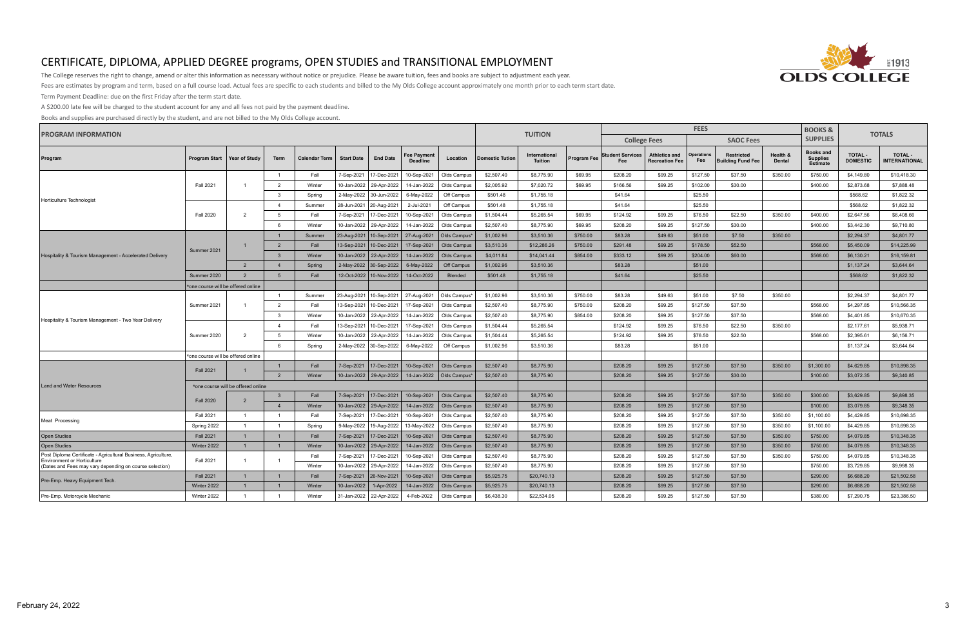

The College reserves the right to change, amend or alter this information as necessary without notice or prejudice. Please be aware tuition, fees and books are subject to adjustment each year.

Fees are estimates by program and term, based on a full course load. Actual fees are specific to each students and billed to the My Olds College account approximately one month prior to each term start date.

Term Payment Deadline: due on the first Friday after the term start date.

A \$200.00 late fee will be charged to the student account for any and all fees not paid by the payment deadline.

| <b>PROGRAM INFORMATION</b>                                                                    |                                    |                                    |                |                      |                   |                           |                                       | <b>TUITION</b>     |                        |                                 |             | <b>FEES</b>                    | <b>BOOKS &amp;</b>                            | <b>TOTALS</b>            |                                               |                           |                                                        |                                   |                                        |
|-----------------------------------------------------------------------------------------------|------------------------------------|------------------------------------|----------------|----------------------|-------------------|---------------------------|---------------------------------------|--------------------|------------------------|---------------------------------|-------------|--------------------------------|-----------------------------------------------|--------------------------|-----------------------------------------------|---------------------------|--------------------------------------------------------|-----------------------------------|----------------------------------------|
|                                                                                               |                                    |                                    |                |                      |                   |                           |                                       |                    |                        |                                 |             |                                | <b>College Fees</b>                           |                          | <b>SAOC Fees</b>                              |                           | <b>SUPPLIES</b>                                        |                                   |                                        |
| Program                                                                                       | <b>Program Start</b>               | <b>Year of Study</b>               | Term           | <b>Calendar Term</b> | <b>Start Date</b> | <b>End Date</b>           | <b>Fee Payment</b><br><b>Deadline</b> | Location           | <b>Domestic Tution</b> | International<br><b>Tuition</b> | Program Fee | <b>Student Services</b><br>Fee | <b>Athletics and</b><br><b>Recreation Fee</b> | <b>Operations</b><br>Fee | <b>Restricted</b><br><b>Building Fund Fee</b> | Health &<br><b>Dental</b> | <b>Books and</b><br><b>Supplies</b><br><b>Estimate</b> | <b>TOTAL -</b><br><b>DOMESTIC</b> | <b>TOTAL -</b><br><b>INTERNATIONAL</b> |
|                                                                                               |                                    |                                    | $\overline{1}$ | Fall                 | 7-Sep-2021        | 7-Dec-2021                | 10-Sep-2021                           | Olds Campus        | \$2,507.40             | \$8,775.90                      | \$69.95     | \$208.20                       | \$99.25                                       | \$127.50                 | \$37.50                                       | \$350.00                  | \$750.00                                               | \$4,149.80                        | \$10,418.30                            |
|                                                                                               | <b>Fall 2021</b>                   |                                    | $\overline{2}$ | Winter               | 10-Jan-2022       | 29-Apr-2022               | 14-Jan-2022                           | Olds Campus        | \$2,005.92             | \$7,020.72                      | \$69.95     | \$166.56                       | \$99.25                                       | \$102.00                 | \$30.00                                       |                           | \$400.00                                               | \$2,873.68                        | \$7,888.48                             |
| Horticulture Technologist                                                                     |                                    |                                    | $\mathbf{3}$   | Spring               | 2-May-2022        | 30-Jun-2022               | 6-May-2022                            | Off Campus         | \$501.48               | \$1,755.18                      |             | \$41.64                        |                                               | \$25.50                  |                                               |                           |                                                        | \$568.62                          | \$1,822.32                             |
|                                                                                               |                                    |                                    | $\overline{4}$ | Summer               | 28-Jun-2021       | 20-Aug-2021               | 2-Jul-2021                            | Off Campus         | \$501.48               | \$1,755.18                      |             | \$41.64                        |                                               | \$25.50                  |                                               |                           |                                                        | \$568.62                          | \$1,822.32                             |
|                                                                                               | <b>Fall 2020</b>                   | $\overline{2}$                     | 5              | Fall                 | 7-Sep-2021        | 7-Dec-2021                | 10-Sep-2021                           | Olds Campus        | \$1,504.44             | \$5,265.54                      | \$69.95     | \$124.92                       | \$99.25                                       | \$76.50                  | \$22.50                                       | \$350.00                  | \$400.00                                               | \$2,647.56                        | \$6,408.66                             |
|                                                                                               |                                    |                                    | - 6            | Winter               | 10-Jan-2022       | 29-Apr-2022               | 14-Jan-2022                           | Olds Campus        | \$2,507.40             | \$8,775.90                      | \$69.95     | \$208.20                       | \$99.25                                       | \$127.50                 | \$30.00                                       |                           | \$400.00                                               | \$3,442.30                        | \$9,710.80                             |
|                                                                                               |                                    |                                    | $\overline{1}$ | Summer               | 23-Aug-2021       | 10-Sep-2021               | 27-Aug-2021                           | Olds Campus*       | \$1,002.96             | \$3,510.36                      | \$750.00    | \$83.28                        | \$49.63                                       | \$51.00                  | \$7.50                                        | \$350.00                  |                                                        | \$2,294.37                        | \$4,801.77                             |
|                                                                                               | Summer 2021                        |                                    | $\overline{2}$ | Fall                 | 13-Sep-2021       | 10-Dec-2021               | 17-Sep-2021                           | <b>Olds Campus</b> | \$3,510.36             | \$12,286.26                     | \$750.00    | \$291.48                       | \$99.25                                       | \$178.50                 | \$52.50                                       |                           | \$568,00                                               | \$5,450.09                        | \$14,225.99                            |
| Hospitality & Tourism Management - Accelerated Delivery                                       |                                    |                                    | 3 <sup>5</sup> | Winter               |                   | 10-Jan-2022   22-Apr-2022 | 14-Jan-2022                           | Olds Campus        | \$4,011.84             | \$14,041.44                     | \$854.00    | \$333.12                       | \$99.25                                       | \$204.00                 | \$60.00                                       |                           | \$568.00                                               | \$6,130.21                        | \$16,159.81                            |
|                                                                                               |                                    | $\overline{2}$                     | $\overline{4}$ | Spring               | 2-May-2022        | 30-Sep-2022               | 6-May-2022                            | Off Campus         | \$1,002.96             | \$3,510.36                      |             | \$83.28                        |                                               | \$51.00                  |                                               |                           |                                                        | \$1,137.24                        | \$3,644.64                             |
|                                                                                               | Summer 2020                        | $\overline{2}$                     | -5             | Fall                 |                   | 12-Oct-2022   10-Nov-2022 | 14-Oct-2022                           | Blended            | \$501.48               | \$1,755.18                      |             | \$41.64                        |                                               | \$25.50                  |                                               |                           |                                                        | \$568.62                          | \$1,822.32                             |
|                                                                                               | *one course will be offered online |                                    |                |                      |                   |                           |                                       |                    |                        |                                 |             |                                |                                               |                          |                                               |                           |                                                        |                                   |                                        |
| Hospitality & Tourism Management - Two Year Delivery                                          |                                    |                                    | $\overline{1}$ | Summer               | 23-Aug-2021       | 10-Sep-2021               | 27-Aug-2021                           | Olds Campus        | \$1,002.96             | \$3,510.36                      | \$750.00    | \$83.28                        | \$49.63                                       | \$51.00                  | \$7.50                                        | \$350.00                  |                                                        | \$2,294.37                        | \$4,801.77                             |
|                                                                                               | Summer 2021                        |                                    | 2              | Fall                 | 13-Sep-2021       | 10-Dec-2021               | 17-Sep-2021                           | Olds Campus        | \$2,507.40             | \$8,775.90                      | \$750.00    | \$208.20                       | \$99.25                                       | \$127.50                 | \$37.50                                       |                           | \$568.00                                               | \$4,297.85                        | \$10,566.35                            |
|                                                                                               |                                    |                                    | $\mathcal{R}$  | Winter               | 10-Jan-2022       | 22-Apr-2022               | 14-Jan-2022                           | Olds Campus        | \$2,507.40             | \$8,775.90                      | \$854.00    | \$208.20                       | \$99.25                                       | \$127.50                 | \$37.50                                       |                           | \$568.00                                               | \$4,401.85                        | \$10,670.35                            |
|                                                                                               |                                    |                                    | $\overline{4}$ | Fall                 | 13-Sep-2021       | 10-Dec-2021               | 17-Sep-2021                           | Olds Campus        | \$1,504.44             | \$5,265.54                      |             | \$124.92                       | \$99.25                                       | \$76.50                  | \$22.50                                       | \$350.00                  |                                                        | \$2,177.61                        | \$5,938.71                             |
|                                                                                               | Summer 2020                        | $\overline{2}$                     | -5             | Winter               | 10-Jan-2022       | 22-Apr-2022               | 14-Jan-2022                           | Olds Campus        | \$1,504.44             | \$5,265.54                      |             | \$124.92                       | \$99.25                                       | \$76.50                  | \$22.50                                       |                           | \$568.00                                               | \$2,395.61                        | \$6,156.71                             |
|                                                                                               |                                    |                                    | 6              | Spring               | 2-May-2022        | 30-Sep-2022               | 6-May-2022                            | Off Campus         | \$1,002.96             | \$3,510.36                      |             | \$83.28                        |                                               | \$51.00                  |                                               |                           |                                                        | \$1,137.24                        | \$3,644.64                             |
|                                                                                               | *one course will be offered online |                                    |                |                      |                   |                           |                                       |                    |                        |                                 |             |                                |                                               |                          |                                               |                           |                                                        |                                   |                                        |
|                                                                                               | <b>Fall 2021</b>                   | 1                                  | $\mathbf{1}$   | Fall                 | 7-Sep-2021        | 17-Dec-2021               | 10-Sep-2021                           | Olds Campus        | \$2,507.40             | \$8,775.90                      |             | \$208.20                       | \$99.25                                       | \$127.50                 | \$37.50                                       | \$350.00                  | \$1,300.00                                             | \$4,629.85                        | \$10,898.35                            |
|                                                                                               |                                    |                                    | $\overline{2}$ | Winter               |                   | 10-Jan-2022   29-Apr-2022 | 14-Jan-2022                           | Olds Campus*       | \$2,507.40             | \$8,775.90                      |             | \$208.20                       | \$99.25                                       | \$127.50                 | \$30.00                                       |                           | \$100.00                                               | \$3,072.35                        | \$9,340.85                             |
| Land and Water Resources                                                                      |                                    | *one course will be offered online |                |                      |                   |                           |                                       |                    |                        |                                 |             |                                |                                               |                          |                                               |                           |                                                        |                                   |                                        |
|                                                                                               | <b>Fall 2020</b>                   | $\overline{2}$                     | $\mathbf{3}$   | Fall                 | 7-Sep-2021        |                           | 17-Dec-2021 10-Sep-2021               | Olds Campus        | \$2,507.40             | \$8,775.90                      |             | \$208.20                       | \$99.25                                       | \$127.50                 | \$37.50                                       | \$350.00                  | \$300.00                                               | \$3.629.85                        | \$9.898.35                             |
|                                                                                               |                                    |                                    | $\mathbf{A}$   | Winter               |                   | 10-Jan-2022   29-Apr-2022 | 14-Jan-2022                           | Olds Campus        | \$2,507.40             | \$8,775.90                      |             | \$208.20                       | \$99.25                                       | \$127.50                 | \$37.50                                       |                           | \$100.00                                               | \$3,079.85                        | \$9,348,35                             |
| Meat Processing                                                                               | <b>Fall 2021</b>                   | $\overline{1}$                     | $\overline{1}$ | Fall                 | 7-Sep-2021        | 17-Dec-2021               | 10-Sep-2021                           | Olds Campus        | \$2,507.40             | \$8,775.90                      |             | \$208.20                       | \$99.25                                       | \$127.50                 | \$37.50                                       | \$350.00                  | \$1,100.00                                             | \$4,429.85                        | \$10,698.35                            |
|                                                                                               | Spring 2022                        |                                    | $\overline{1}$ | Spring               | 9-May-2022        | 19-Aug-2022               | 13-May-2022                           | Olds Campus        | \$2,507.40             | \$8,775.90                      |             | \$208.20                       | \$99.25                                       | \$127.50                 | \$37.50                                       | \$350.00                  | \$1,100.00                                             | \$4,429.85                        | \$10,698.35                            |
| <b>Open Studies</b>                                                                           | <b>Fall 2021</b>                   | $\mathbf{1}$                       | $\overline{1}$ | Fall                 | 7-Sep-2021        | 17-Dec-2021               | 10-Sep-2021                           | <b>Olds Campus</b> | \$2,507.40             | \$8,775.90                      |             | \$208.20                       | \$99.25                                       | \$127.50                 | \$37.50                                       | \$350.00                  | \$750.00                                               | \$4,079.85                        | \$10,348.35                            |
| <b>Open Studies</b>                                                                           | Winter 2022                        | $\mathbf{1}$                       |                | Winter               | 10-Jan-2022       | 29-Apr-2022               | 14-Jan-2022                           | Olds Campus        | \$2,507.40             | \$8,775.90                      |             | \$208.20                       | \$99.25                                       | \$127.50                 | \$37.50                                       | \$350.00                  | \$750.00                                               | \$4,079.85                        | \$10,348.35                            |
| Post Diploma Certificate - Agricultural Business, Agriculture,                                | <b>Fall 2021</b>                   | $\mathbf{1}$                       | $\overline{1}$ | Fall                 | 7-Sep-2021        | 17-Dec-2021               | 10-Sep-2021                           | Olds Campus        | \$2,507.40             | \$8,775.90                      |             | \$208.20                       | \$99.25                                       | \$127.50                 | \$37.50                                       | \$350.00                  | \$750.00                                               | \$4,079.85                        | \$10,348.35                            |
| <b>Environment or Horticulture</b><br>(Dates and Fees may vary depending on course selection) |                                    |                                    |                | Winter               | 10-Jan-2022       | 29-Apr-2022               | 14-Jan-2022                           | Olds Campus        | \$2,507.40             | \$8,775.90                      |             | \$208.20                       | \$99.25                                       | \$127.50                 | \$37.50                                       |                           | \$750.00                                               | \$3,729.85                        | \$9,998.35                             |
| Pre-Emp. Heavy Equipment Tech.                                                                | <b>Fall 2021</b>                   | $\mathbf{1}$                       | $\overline{1}$ | Fall                 | 7-Sep-2021        | 26-Nov-2021               | 10-Sep-2021                           | Olds Campus        | \$5,925.75             | \$20,740.13                     |             | \$208.20                       | \$99.25                                       | \$127.50                 | \$37.50                                       |                           | \$290.00                                               | \$6,688.20                        | \$21,502.58                            |
|                                                                                               | Winter 2022                        | $\mathbf 1$                        |                | Winter               | 10-Jan-2022       | 1-Apr-2022                | 14-Jan-2022                           | <b>Olds Campus</b> | \$5,925.75             | \$20,740.13                     |             | \$208.20                       | \$99.25                                       | \$127.50                 | \$37.50                                       |                           | \$290.00                                               | \$6,688.20                        | \$21,502.58                            |
| Pre-Emp. Motorcycle Mechanic                                                                  | Winter 2022                        | $\overline{1}$                     | $\overline{1}$ | Winter               | 31-Jan-2022       | 22-Apr-2022               | 4-Feb-2022                            | Olds Campus        | \$6,438.30             | \$22,534.05                     |             | \$208.20                       | \$99.25                                       | \$127.50                 | \$37.50                                       |                           | \$380.00                                               | \$7,290.75                        | \$23,386.50                            |